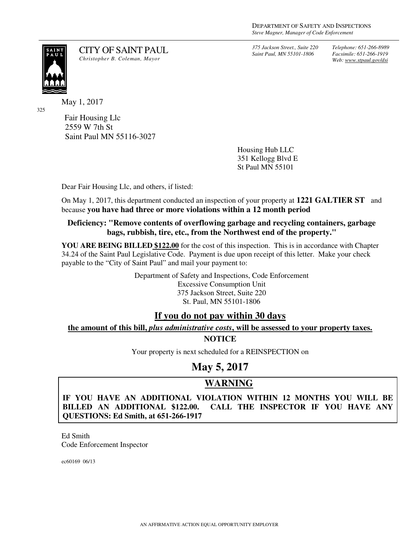*375 Jackson Street., Suite 220 Saint Paul, MN 55101-1806*

*Telephone: 651-266-8989 Facsimile: 651-266-1919 Web: www.stpaul.gov/dsi*

SAIN<mark>T</mark><br>PAUL

325

CITY OF SAINT PAUL *Christopher B. Coleman, Mayor* 

May 1, 2017

Fair Housing Llc 2559 W 7th St Saint Paul MN 55116-3027

> Housing Hub LLC 351 Kellogg Blvd E St Paul MN 55101

Dear Fair Housing Llc, and others, if listed:

On May 1, 2017, this department conducted an inspection of your property at **1221 GALTIER ST** and because **you have had three or more violations within a 12 month period**

#### **Deficiency: "Remove contents of overflowing garbage and recycling containers, garbage bags, rubbish, tire, etc., from the Northwest end of the property."**

**YOU ARE BEING BILLED \$122.00** for the cost of this inspection. This is in accordance with Chapter 34.24 of the Saint Paul Legislative Code. Payment is due upon receipt of this letter. Make your check payable to the "City of Saint Paul" and mail your payment to:

> Department of Safety and Inspections, Code Enforcement Excessive Consumption Unit 375 Jackson Street, Suite 220 St. Paul, MN 55101-1806

### **If you do not pay within 30 days**

**the amount of this bill,** *plus administrative costs***, will be assessed to your property taxes. NOTICE** 

Your property is next scheduled for a REINSPECTION on

# **May 5, 2017**

# **WARNING**

**IF YOU HAVE AN ADDITIONAL VIOLATION WITHIN 12 MONTHS YOU WILL BE BILLED AN ADDITIONAL \$122.00. CALL THE INSPECTOR IF YOU HAVE ANY QUESTIONS: Ed Smith, at 651-266-1917**

Ed Smith Code Enforcement Inspector

ec60169 06/13